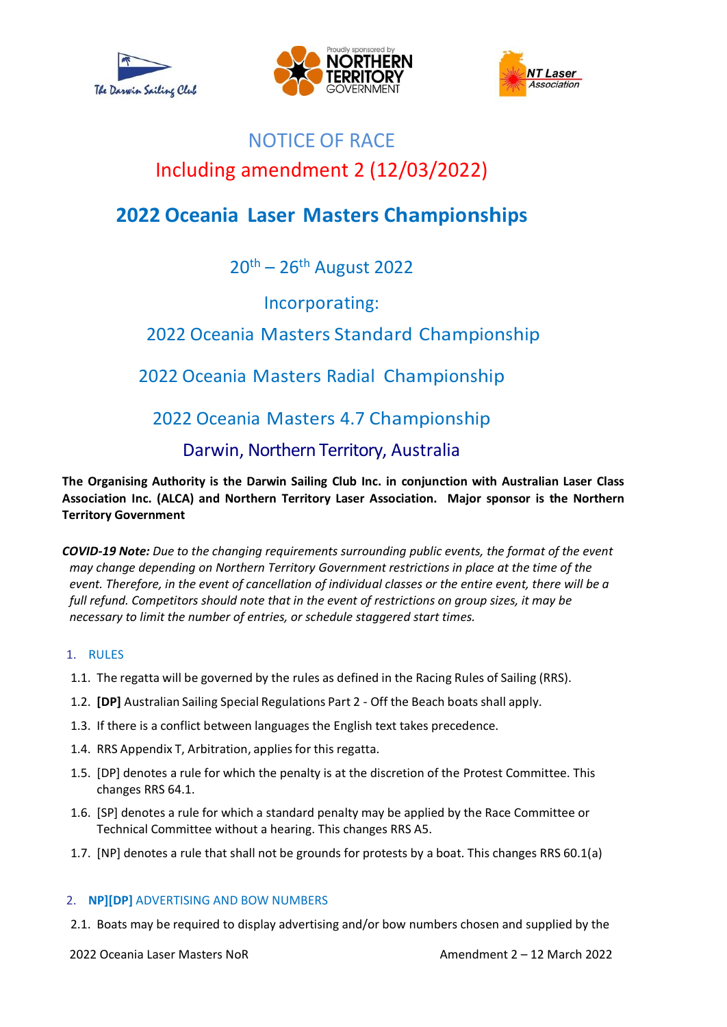





# NOTICE OF RACE Including amendment 2 (12/03/2022)

# **2022 Oceania Laser Masters Championships**

20<sup>th</sup> – 26<sup>th</sup> August 2022

Incorporating:

# 2022 Oceania Masters Standard Championship

# 2022 Oceania Masters Radial Championship

# 2022 Oceania Masters 4.7 Championship

# Darwin, Northern Territory, Australia

**The Organising Authority is the Darwin Sailing Club Inc. in conjunction with Australian Laser Class Association Inc. (ALCA) and Northern Territory Laser Association. Major sponsor is the Northern Territory Government**

*COVID-19 Note: Due to the changing requirements surrounding public events, the format of the event may change depending on Northern Territory Government restrictions in place at the time of the event. Therefore, in the event of cancellation of individual classes or the entire event, there will be a full refund. Competitors should note that in the event of restrictions on group sizes, it may be necessary to limit the number of entries, or schedule staggered start times.*

# 1. RULES

- 1.1. The regatta will be governed by the rules as defined in the Racing Rules of Sailing (RRS).
- 1.2. **[DP]** Australian Sailing Special Regulations Part 2 Off the Beach boats shall apply.
- 1.3. If there is a conflict between languages the English text takes precedence.
- 1.4. RRS Appendix T, Arbitration, applies for this regatta.
- 1.5. [DP] denotes a rule for which the penalty is at the discretion of the Protest Committee. This changes RRS 64.1.
- 1.6. [SP] denotes a rule for which a standard penalty may be applied by the Race Committee or Technical Committee without a hearing. This changes RRS A5.
- 1.7. [NP] denotes a rule that shall not be grounds for protests by a boat. This changes RRS 60.1(a)

# 2. **NP][DP]** ADVERTISING AND BOW NUMBERS

2.1. Boats may be required to display advertising and/or bow numbers chosen and supplied by the

2022 Oceania Laser Masters NoR Amendment 2 – 12 March 2022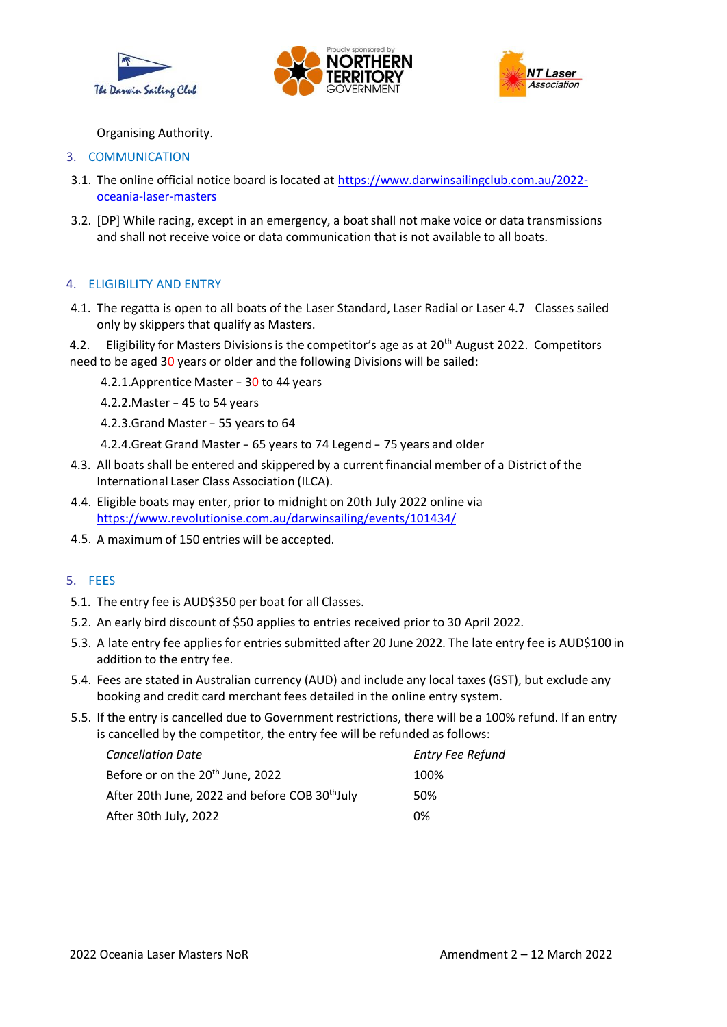





Organising Authority.

- 3. COMMUNICATION
- 3.1. The online official notice board is located at [https://www.darwinsailingclub.com.au/2022](https://www.darwinsailingclub.com.au/2022-oceania-laser-masters) [oceania-laser-masters](https://www.darwinsailingclub.com.au/2022-oceania-laser-masters)
- 3.2. [DP] While racing, except in an emergency, a boat shall not make voice or data transmissions and shall not receive voice or data communication that is not available to all boats.

## 4. ELIGIBILITY AND ENTRY

- 4.1. The regatta is open to all boats of the Laser Standard, Laser Radial or Laser 4.7 Classes sailed only by skippers that qualify as Masters.
- 4.2. Eligibility for Masters Divisions is the competitor's age as at 20<sup>th</sup> August 2022. Competitors need to be aged 30 years or older and the following Divisions will be sailed:
	- 4.2.1.Apprentice Master <sup>30</sup> to <sup>44</sup> years
	- 4.2.2.Master 45 to <sup>54</sup> years
	- 4.2.3.Grand Master 55 years to 64
	- 4.2.4.Great Grand Master 65 years to 74 Legend <sup>75</sup> years and older
- 4.3. All boats shall be entered and skippered by a current financial member of a District of the International Laser Class Association (ILCA).
- 4.4. Eligible boats may enter, prior to midnight on 20th July 2022 online via <https://www.revolutionise.com.au/darwinsailing/events/101434/>
- 4.5. A maximum of 150 entries will be accepted.

## 5. FEES

- 5.1. The entry fee is AUD\$350 per boat for all Classes.
- 5.2. An early bird discount of \$50 applies to entries received prior to 30 April 2022.
- 5.3. A late entry fee appliesfor entries submitted after 20 June 2022. The late entry fee is AUD\$100 in addition to the entry fee.
- 5.4. Fees are stated in Australian currency (AUD) and include any local taxes (GST), but exclude any booking and credit card merchant fees detailed in the online entry system.
- 5.5. If the entry is cancelled due to Government restrictions, there will be a 100% refund. If an entry is cancelled by the competitor, the entry fee will be refunded as follows:

| <b>Cancellation Date</b>                                   | <b>Entry Fee Refund</b> |
|------------------------------------------------------------|-------------------------|
| Before or on the 20 <sup>th</sup> June, 2022               | 100%                    |
| After 20th June, 2022 and before COB 30 <sup>th</sup> July | 50%                     |
| After 30th July, 2022                                      | በ%                      |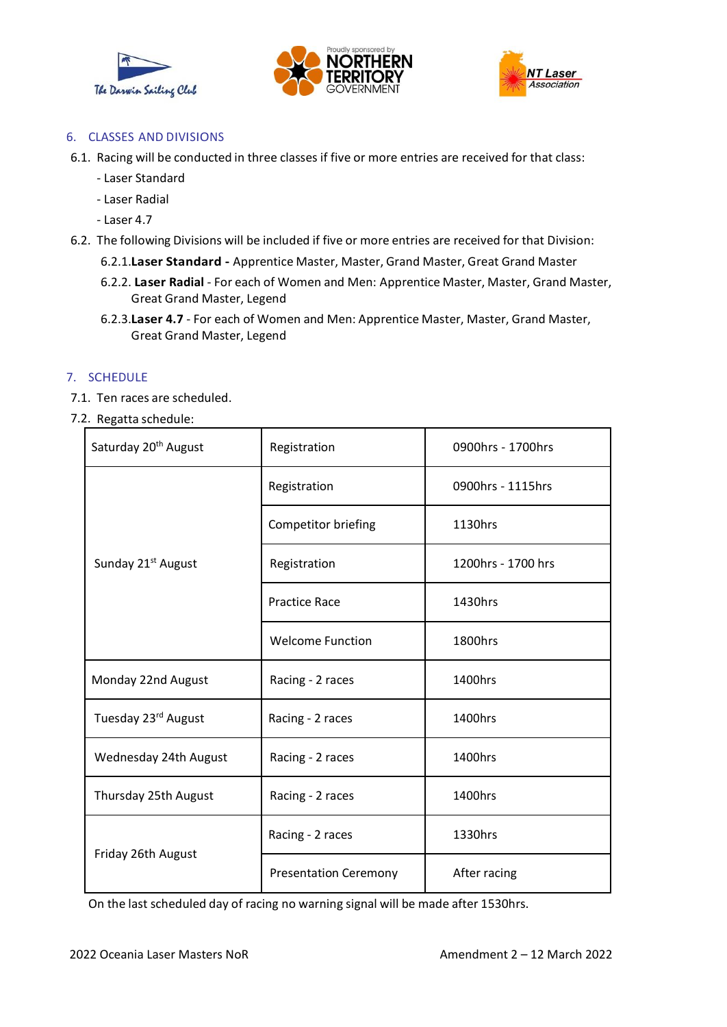





## 6. CLASSES AND DIVISIONS

6.1. Racing will be conducted in three classes if five or more entries are received for that class:

- Laser Standard
- Laser Radial
- Laser 4.7
- 6.2. The following Divisions will be included if five or more entries are received for that Division:
	- 6.2.1.**Laser Standard -** Apprentice Master, Master, Grand Master, Great Grand Master
	- 6.2.2. **Laser Radial** For each of Women and Men: Apprentice Master, Master, Grand Master, Great Grand Master, Legend
	- 6.2.3.**Laser 4.7** For each of Women and Men: Apprentice Master, Master, Grand Master, Great Grand Master, Legend

#### 7. SCHEDULE

- 7.1. Ten races are scheduled.
- 7.2. Regatta schedule:

| Saturday 20 <sup>th</sup> August | Registration                 | 0900hrs - 1700hrs  |
|----------------------------------|------------------------------|--------------------|
| Sunday 21 <sup>st</sup> August   | Registration                 | 0900hrs - 1115hrs  |
|                                  | Competitor briefing          | 1130hrs            |
|                                  | Registration                 | 1200hrs - 1700 hrs |
|                                  | <b>Practice Race</b>         | 1430hrs            |
|                                  | <b>Welcome Function</b>      | 1800hrs            |
| Monday 22nd August               | Racing - 2 races             | 1400hrs            |
| Tuesday 23 <sup>rd</sup> August  | Racing - 2 races             | 1400hrs            |
| Wednesday 24th August            | Racing - 2 races             | 1400hrs            |
| Thursday 25th August             | Racing - 2 races             | 1400hrs            |
| Friday 26th August               | Racing - 2 races             | 1330hrs            |
|                                  | <b>Presentation Ceremony</b> | After racing       |

On the last scheduled day of racing no warning signal will be made after 1530hrs.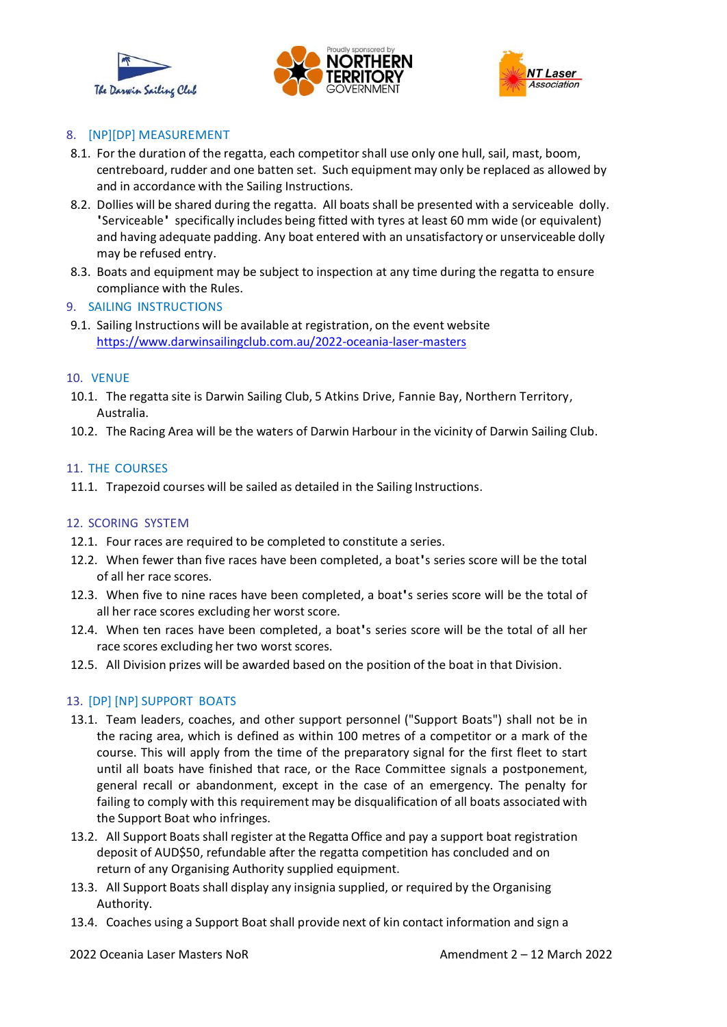





# 8. [NP][DP] MEASUREMENT

- 8.1. For the duration of the regatta, each competitorshall use only one hull, sail, mast, boom, centreboard, rudder and one batten set. Such equipment may only be replaced as allowed by and in accordance with the Sailing Instructions.
- 8.2. Dollies will be shared during the regatta. All boats shall be presented with a serviceable dolly. 'Serviceable' specifically includes being fitted with tyres at least 60 mm wide (or equivalent) and having adequate padding. Any boat entered with an unsatisfactory or unserviceable dolly may be refused entry.
- 8.3. Boats and equipment may be subject to inspection at any time during the regatta to ensure compliance with the Rules.
- 9. SAILING INSTRUCTIONS
- 9.1. Sailing Instructions will be available at registration, on the event website <https://www.darwinsailingclub.com.au/2022-oceania-laser-masters>

#### 10. VENUE

- 10.1. The regatta site is Darwin Sailing Club, 5 Atkins Drive, Fannie Bay, Northern Territory, Australia.
- 10.2. The Racing Area will be the waters of Darwin Harbour in the vicinity of Darwin Sailing Club.

#### 11. THE COURSES

11.1. Trapezoid courses will be sailed as detailed in the Sailing Instructions.

## 12. SCORING SYSTEM

- 12.1. Four races are required to be completed to constitute a series.
- 12.2. When fewer than five races have been completed, a boat's series score will be the total of all her race scores.
- 12.3. When five to nine races have been completed, a boat's series score will be the total of all her race scores excluding her worst score.
- 12.4. When ten races have been completed, a boat's series score will be the total of all her race scores excluding her two worst scores.
- 12.5. All Division prizes will be awarded based on the position of the boat in that Division.

## 13. [DP] [NP] SUPPORT BOATS

- 13.1. Team leaders, coaches, and other support personnel ("Support Boats") shall not be in the racing area, which is defined as within 100 metres of a competitor or a mark of the course. This will apply from the time of the preparatory signal for the first fleet to start until all boats have finished that race, or the Race Committee signals a postponement, general recall or abandonment, except in the case of an emergency. The penalty for failing to comply with this requirement may be disqualification of all boats associated with the Support Boat who infringes.
- 13.2. All Support Boats shall register at the Regatta Office and pay a support boat registration deposit of AUD\$50, refundable after the regatta competition has concluded and on return of any Organising Authority supplied equipment.
- 13.3. All Support Boats shall display any insignia supplied, or required by the Organising Authority.
- 13.4. Coaches using a Support Boat shall provide next of kin contact information and sign a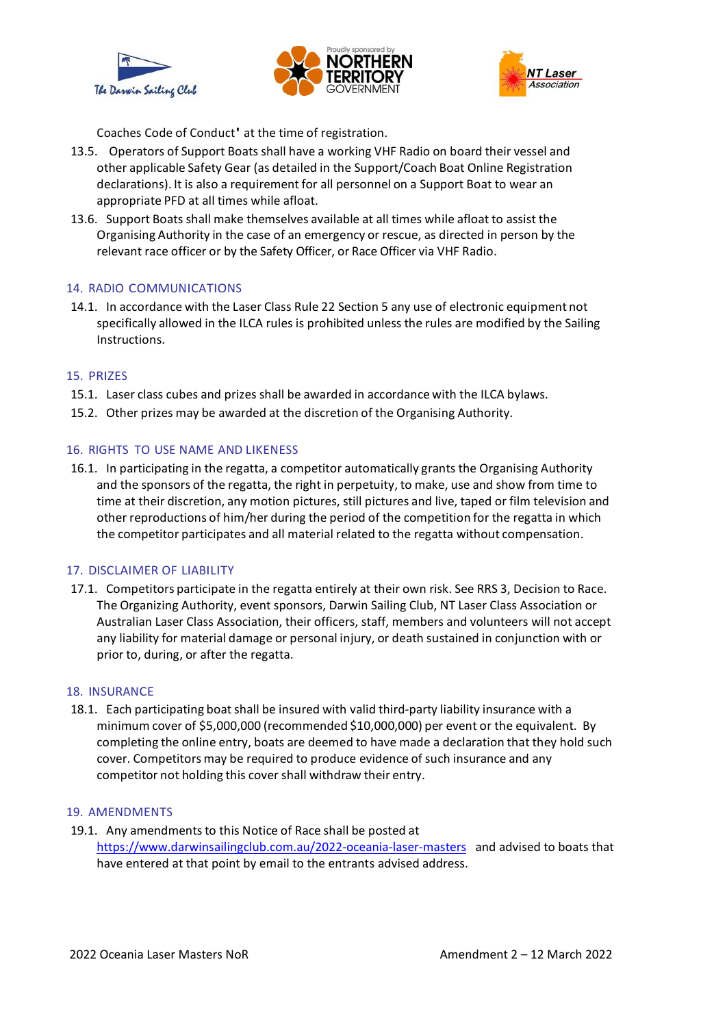





Coaches Code of Conduct' at the time of registration.

- 13.5. Operators of Support Boats shall have a working VHF Radio on board their vessel and other applicable Safety Gear (as detailed in the Support/Coach Boat Online Registration declarations). It is also a requirement for all personnel on a Support Boat to wear an appropriate PFD at all times while afloat.
- 13.6. Support Boats shall make themselves available at all times while afloat to assist the Organising Authority in the case of an emergency or rescue, as directed in person by the relevant race officer or by the Safety Officer, or Race Officer via VHF Radio.

#### 14. RADIO COMMUNICATIONS

14.1. In accordance with the Laser Class Rule 22 Section 5 any use of electronic equipment not specifically allowed in the ILCA rules is prohibited unless the rules are modified by the Sailing Instructions.

#### 15. PRIZES

- 15.1. Laser class cubes and prizes shall be awarded in accordance with the ILCA bylaws.
- 15.2. Other prizes may be awarded at the discretion of the Organising Authority.

#### 16. RIGHTS TO USE NAME AND LIKENESS

16.1. In participating in the regatta, a competitor automatically grants the Organising Authority and the sponsors of the regatta, the right in perpetuity, to make, use and show from time to time at their discretion, any motion pictures, still pictures and live, taped or film television and other reproductions of him/her during the period of the competition for the regatta in which the competitor participates and all material related to the regatta without compensation.

#### 17. DISCLAIMER OF LIABILITY

17.1. Competitors participate in the regatta entirely at their own risk. See RRS 3, Decision to Race. The Organizing Authority, event sponsors, Darwin Sailing Club, NT Laser Class Association or Australian Laser Class Association, their officers, staff, members and volunteers will not accept any liability for material damage or personal injury, or death sustained in conjunction with or prior to, during, or after the regatta.

#### 18. INSURANCE

18.1. Each participating boat shall be insured with valid third-party liability insurance with a minimum cover of \$5,000,000 (recommended \$10,000,000) per event or the equivalent. By completing the online entry, boats are deemed to have made a declaration that they hold such cover. Competitors may be required to produce evidence of such insurance and any competitor not holding this cover shall withdraw their entry.

#### 19. AMENDMENTS

19.1. Any amendments to this Notice of Race shall be posted at <https://www.darwinsailingclub.com.au/2022-oceania-laser-masters>and advised to boats that have entered at that point by email to the entrants advised address.